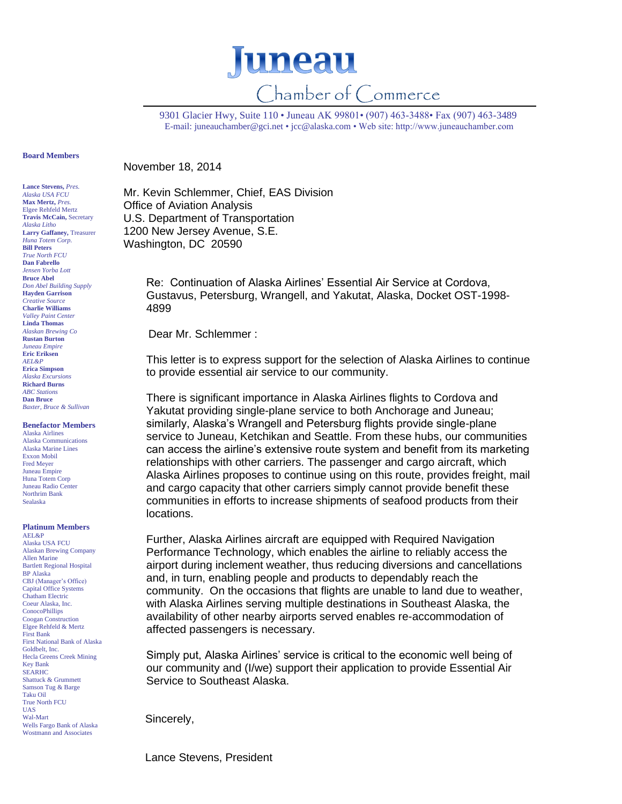

9301 Glacier Hwy, Suite 110 • Juneau AK 99801• (907) 463-3488• Fax (907) 463-3489 E-mail[: juneauchamber@gci.net](mailto:juneauchamber@gci.net) [• jcc@alaska.com](mailto:jcc@alaska.com) • Web site: http://www.juneauchamber.com

## **Board Members**

**Lance Stevens,** *Pres. Alaska USA FCU* **Max Mertz,** *Pres.*  Elgee Rehfeld Mertz **Travis McCain,** Secretary *Alaska Litho* **Larry Gaffaney,** Treasurer *Huna Totem Corp.* **Bill Peters** *True North FCU* **Dan Fabrello** *Jensen Yorba Lott* **Bruce Abel** *Don Abel Building Supply* **Hayden Garrison** *Creative Source* **Charlie Williams** *Valley Paint Center* **Linda Thomas** *Alaskan Brewing Co* **Rustan Burton** *Juneau Empire* **Eric Eriksen** *AEL&P* **Erica Simpson** *Alaska Excursions* **Richard Burns** *ABC Stations* **Dan Bruce** *Baxter, Bruce & Sullivan*

**Benefactor Members**

Alaska Airlines Alaska Communications Alaska Marine Lines Exxon Mobil Fred Meyer Juneau Empire Huna Totem Corp Juneau Radio Center Northrim Bank Sealaska

## **Platinum Members**

AEL&P Alaska USA FCU Alaskan Brewing Company Allen Marine Bartlett Regional Hospital BP Alaska CBJ (Manager's Office) Capital Office Systems Chatham Electric Coeur Alaska, Inc. ConocoPhillips Coogan Construction Elgee Rehfeld & Mertz First Bank First National Bank of Alaska Goldbelt, Inc. Hecla Greens Creek Mining Key Bank SEARHC Shattuck & Grummett Samson Tug & Barge Taku Oil True North FCU UAS Wal-Mart Wells Fargo Bank of Alaska Wostmann and Associates

November 18, 2014

Mr. Kevin Schlemmer, Chief, EAS Division Office of Aviation Analysis U.S. Department of Transportation 1200 New Jersey Avenue, S.E. Washington, DC 20590

> Re: Continuation of Alaska Airlines' Essential Air Service at Cordova, Gustavus, Petersburg, Wrangell, and Yakutat, Alaska, Docket OST-1998- 4899

Dear Mr. Schlemmer :

This letter is to express support for the selection of Alaska Airlines to continue to provide essential air service to our community.

There is significant importance in Alaska Airlines flights to Cordova and Yakutat providing single-plane service to both Anchorage and Juneau; similarly, Alaska's Wrangell and Petersburg flights provide single-plane service to Juneau, Ketchikan and Seattle. From these hubs, our communities can access the airline's extensive route system and benefit from its marketing relationships with other carriers. The passenger and cargo aircraft, which Alaska Airlines proposes to continue using on this route, provides freight, mail and cargo capacity that other carriers simply cannot provide benefit these communities in efforts to increase shipments of seafood products from their locations.

Further, Alaska Airlines aircraft are equipped with Required Navigation Performance Technology, which enables the airline to reliably access the airport during inclement weather, thus reducing diversions and cancellations and, in turn, enabling people and products to dependably reach the community. On the occasions that flights are unable to land due to weather, with Alaska Airlines serving multiple destinations in Southeast Alaska, the availability of other nearby airports served enables re-accommodation of affected passengers is necessary.

Simply put, Alaska Airlines' service is critical to the economic well being of our community and (I/we) support their application to provide Essential Air Service to Southeast Alaska.

Sincerely,

Lance Stevens, President